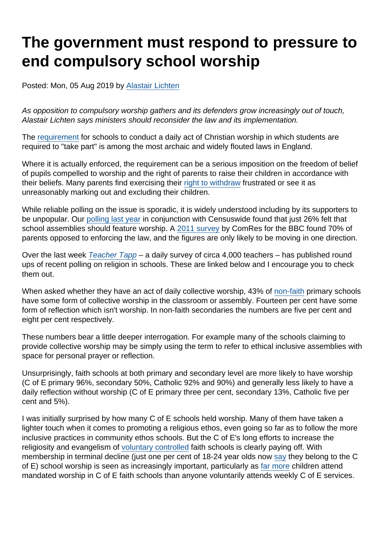# The government must respond to pressure to end compulsory school worship

Posted: Mon, 05 Aug 2019 by [Alastair Lichten](https://www.secularism.org.uk/opinion/authors/847)

As opposition to compulsory worship gathers and its defenders grow increasingly out of touch, Alastair Lichten says ministers should reconsider the law and its implementation.

The [requirement](https://www.secularism.org.uk/end-compulsory-worship/) for schools to conduct a daily act of Christian worship in which students are required to "take part" is among the most archaic and widely flouted laws in England.

Where it is actually enforced, the requirement can be a serious imposition on the freedom of belief of pupils compelled to worship and the right of parents to raise their children in accordance with their beliefs. Many parents find exercising their [right to withdraw](https://www.secularism.org.uk/end-compulsory-worship/#right-withdraw) frustrated or see it as unreasonably marking out and excluding their children.

While reliable polling on the issue is sporadic, it is widely understood including by its supporters to be unpopular. Our [polling last year](https://www.secularism.org.uk/news/2018/06/british-public-opposes-religious-influence-in-education-poll-finds) in conjunction with Censuswide found that just 26% felt that school assemblies should feature worship. A [2011 survey](https://www.bbc.co.uk/news/uk-england-14794472) by ComRes for the BBC found 70% of parents opposed to enforcing the law, and the figures are only likely to be moving in one direction.

Over the last week [Teacher Tapp](https://teachertapp.co.uk/) – a daily survey of circa 4,000 teachers – has published round ups of recent polling on religion in schools. These are linked below and I encourage you to check them out.

When asked whether they have an act of daily collective worship, 43% of [non-faith](https://www.nomorefaithschools.org/news/2019/01/a-secular-education-system-would-mean-community-schools-for-all) primary schools have some form of collective worship in the classroom or assembly. Fourteen per cent have some form of reflection which isn't worship. In non-faith secondaries the numbers are five per cent and eight per cent respectively.

These numbers bear a little deeper interrogation. For example many of the schools claiming to provide collective worship may be simply using the term to refer to ethical inclusive assemblies with space for personal prayer or reflection.

Unsurprisingly, faith schools at both primary and secondary level are more likely to have worship (C of E primary 96%, secondary 50%, Catholic 92% and 90%) and generally less likely to have a daily reflection without worship (C of E primary three per cent, secondary 13%, Catholic five per cent and 5%).

I was initially surprised by how many C of E schools held worship. Many of them have taken a lighter touch when it comes to promoting a religious ethos, even going so far as to follow the more inclusive practices in community ethos schools. But the C of E's long efforts to increase the religiosity and evangelism of [voluntary controlled](https://www.secularism.org.uk/faith-schools/what-types-of-school-are-there.html/) faith schools is clearly paying off. With membership in terminal decline (just one per cent of 18-24 year olds now [say](https://www.secularism.org.uk/news/2019/07/just-12-percent-of-brits-are-affiliated-to-c-of-e-major-survey-reveals) they belong to the C of E) school worship is seen as increasingly important, particularly as [far more](https://www.churchofengland.org/sites/default/files/2017-10/2016statisticsformission.pdf) children attend mandated worship in C of E faith schools than anyone voluntarily attends weekly C of E services.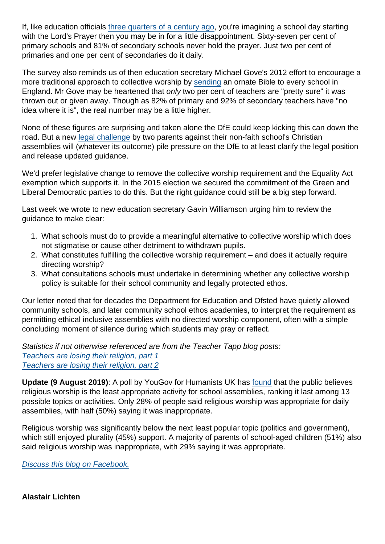If, like education officials [three quarters of a century ago](https://www.parliament.uk/about/living-heritage/transformingsociety/livinglearning/school/overview/educationact1944/), you're imagining a school day starting with the Lord's Prayer then you may be in for a little disappointment. Sixty-seven per cent of primary schools and 81% of secondary schools never hold the prayer. Just two per cent of primaries and one per cent of secondaries do it daily.

The survey also reminds us of then education secretary Michael Gove's 2012 effort to encourage a more traditional approach to collective worship by [sending](https://www.secularism.org.uk/news/2012/05/why-is-the-government-promoting-a-particular-religion-in-state-schools) an ornate Bible to every school in England. Mr Gove may be heartened that only two per cent of teachers are "pretty sure" it was thrown out or given away. Though as 82% of primary and 92% of secondary teachers have "no idea where it is", the real number may be a little higher.

None of these figures are surprising and taken alone the DfE could keep kicking this can down the road. But a new [legal challenge](https://www.secularism.org.uk/news/2019/07/parents-challenge-academys-christian-assemblies-in-court) by two parents against their non-faith school's Christian assemblies will (whatever its outcome) pile pressure on the DfE to at least clarify the legal position and release updated guidance.

We'd prefer legislative change to remove the collective worship requirement and the Equality Act exemption which supports it. In the 2015 election we secured the commitment of the Green and Liberal Democratic parties to do this. But the right guidance could still be a big step forward.

Last week we wrote to new education secretary Gavin Williamson urging him to review the guidance to make clear:

- 1. What schools must do to provide a meaningful alternative to collective worship which does not stigmatise or cause other detriment to withdrawn pupils.
- 2. What constitutes fulfilling the collective worship requirement and does it actually require directing worship?
- 3. What consultations schools must undertake in determining whether any collective worship policy is suitable for their school community and legally protected ethos.

Our letter noted that for decades the Department for Education and Ofsted have quietly allowed community schools, and later community school ethos academies, to interpret the requirement as permitting ethical inclusive assemblies with no directed worship component, often with a simple concluding moment of silence during which students may pray or reflect.

Statistics if not otherwise referenced are from the Teacher Tapp blog posts:

[Teachers are losing their religion, part 1](https://teachertapp.co.uk/teachers-are-losing-their-religion-how-religious-are-teachers/) [Teachers are losing their religion, part 2](https://teachertapp.co.uk/teachers-are-losing-their-religion-part-two/)

Update (9 August 2019) : A poll by YouGov for Humanists UK has [found](https://humanism.org.uk/2019/08/09/parents-say-religious-worship-is-least-appropriate-activity-for-school-assemblies-new-poll-reveals/) that the public believes religious worship is the least appropriate activity for school assemblies, ranking it last among 13 possible topics or activities. Only 28% of people said religious worship was appropriate for daily assemblies, with half (50%) saying it was inappropriate.

Religious worship was significantly below the next least popular topic (politics and government), which still enjoyed plurality (45%) support. A majority of parents of school-aged children (51%) also said religious worship was inappropriate, with 29% saying it was appropriate.

[Discuss this blog on Facebook.](https://www.facebook.com/NationalSecularSociety/posts/2388935437841460)